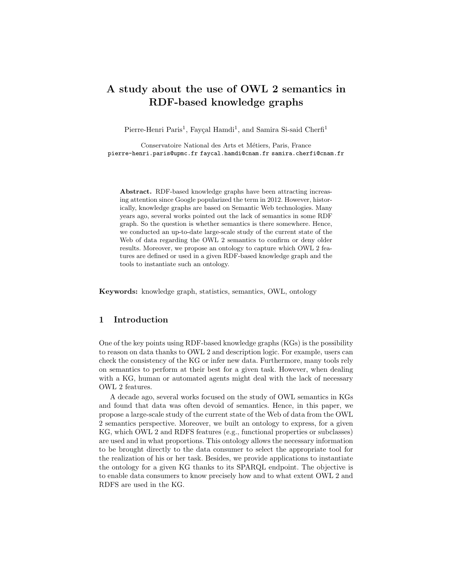# A study about the use of OWL 2 semantics in RDF-based knowledge graphs

Pierre-Henri Paris<sup>1</sup>, Fayçal Hamdi<sup>1</sup>, and Samira Si-said Cherfi<sup>1</sup>

Conservatoire National des Arts et Métiers, Paris, France pierre-henri.paris@upmc.fr faycal.hamdi@cnam.fr samira.cherfi@cnam.fr

Abstract. RDF-based knowledge graphs have been attracting increasing attention since Google popularized the term in 2012. However, historically, knowledge graphs are based on Semantic Web technologies. Many years ago, several works pointed out the lack of semantics in some RDF graph. So the question is whether semantics is there somewhere. Hence, we conducted an up-to-date large-scale study of the current state of the Web of data regarding the OWL 2 semantics to confirm or deny older results. Moreover, we propose an ontology to capture which OWL 2 features are defined or used in a given RDF-based knowledge graph and the tools to instantiate such an ontology.

Keywords: knowledge graph, statistics, semantics, OWL, ontology

# 1 Introduction

One of the key points using RDF-based knowledge graphs (KGs) is the possibility to reason on data thanks to OWL 2 and description logic. For example, users can check the consistency of the KG or infer new data. Furthermore, many tools rely on semantics to perform at their best for a given task. However, when dealing with a KG, human or automated agents might deal with the lack of necessary OWL 2 features.

A decade ago, several works focused on the study of OWL semantics in KGs and found that data was often devoid of semantics. Hence, in this paper, we propose a large-scale study of the current state of the Web of data from the OWL 2 semantics perspective. Moreover, we built an ontology to express, for a given KG, which OWL 2 and RDFS features (e.g., functional properties or subclasses) are used and in what proportions. This ontology allows the necessary information to be brought directly to the data consumer to select the appropriate tool for the realization of his or her task. Besides, we provide applications to instantiate the ontology for a given KG thanks to its SPARQL endpoint. The objective is to enable data consumers to know precisely how and to what extent OWL 2 and RDFS are used in the KG.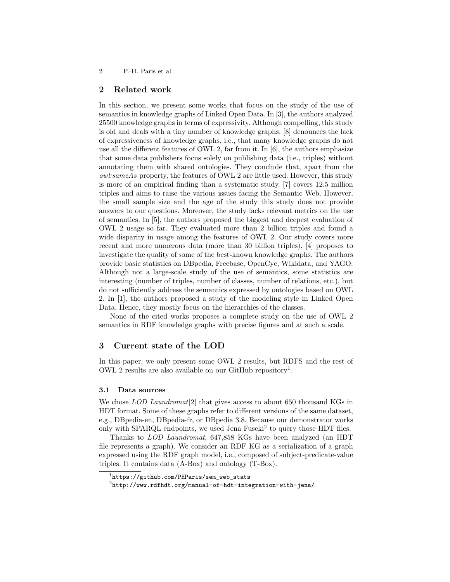## 2 Related work

In this section, we present some works that focus on the study of the use of semantics in knowledge graphs of Linked Open Data. In [3], the authors analyzed 25500 knowledge graphs in terms of expressivity. Although compelling, this study is old and deals with a tiny number of knowledge graphs. [8] denounces the lack of expressiveness of knowledge graphs, i.e., that many knowledge graphs do not use all the different features of OWL 2, far from it. In [6], the authors emphasize that some data publishers focus solely on publishing data (i.e., triples) without annotating them with shared ontologies. They conclude that, apart from the owl:sameAs property, the features of OWL 2 are little used. However, this study is more of an empirical finding than a systematic study. [7] covers 12.5 million triples and aims to raise the various issues facing the Semantic Web. However, the small sample size and the age of the study this study does not provide answers to our questions. Moreover, the study lacks relevant metrics on the use of semantics. In [5], the authors proposed the biggest and deepest evaluation of OWL 2 usage so far. They evaluated more than 2 billion triples and found a wide disparity in usage among the features of OWL 2. Our study covers more recent and more numerous data (more than 30 billion triples). [4] proposes to investigate the quality of some of the best-known knowledge graphs. The authors provide basic statistics on DBpedia, Freebase, OpenCyc, Wikidata, and YAGO. Although not a large-scale study of the use of semantics, some statistics are interesting (number of triples, number of classes, number of relations, etc.), but do not sufficiently address the semantics expressed by ontologies based on OWL 2. In [1], the authors proposed a study of the modeling style in Linked Open Data. Hence, they mostly focus on the hierarchies of the classes.

None of the cited works proposes a complete study on the use of OWL 2 semantics in RDF knowledge graphs with precise figures and at such a scale.

## 3 Current state of the LOD

In this paper, we only present some OWL 2 results, but RDFS and the rest of OWL 2 results are also available on our GitHub repository<sup>1</sup>.

## 3.1 Data sources

We chose *LOD Laundromat*<sup>[2]</sup> that gives access to about 650 thousand KGs in HDT format. Some of these graphs refer to different versions of the same dataset, e.g., DBpedia-en, DBpedia-fr, or DBpedia 3.8. Because our demonstrator works only with SPARQL endpoints, we used Jena Fuseki<sup>2</sup> to query those HDT files.

Thanks to LOD Laundromat, 647,858 KGs have been analyzed (an HDT file represents a graph). We consider an RDF KG as a serialization of a graph expressed using the RDF graph model, i.e., composed of subject-predicate-value triples. It contains data (A-Box) and ontology (T-Box).

 $1$ https://github.com/PHParis/sem\_web\_stats

 $^{2}$ http://www.rdfhdt.org/manual-of-hdt-integration-with-jena/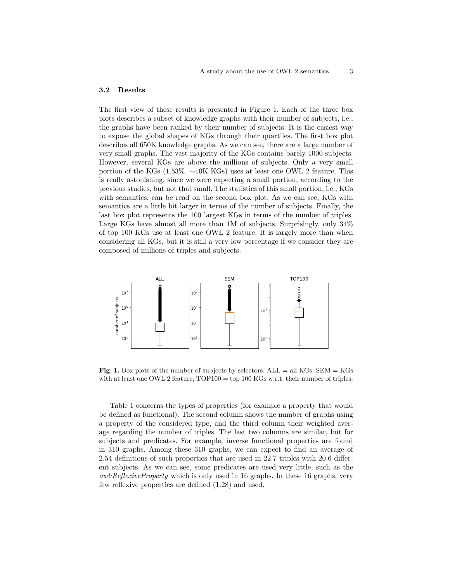## 3.2 Results

The first view of these results is presented in Figure 1. Each of the three box plots describes a subset of knowledge graphs with their number of subjects, i.e., the graphs have been ranked by their number of subjects. It is the easiest way to expose the global shapes of KGs through their quartiles. The first box plot describes all 650K knowledge graphs. As we can see, there are a large number of very small graphs. The vast majority of the KGs contains barely 1000 subjects. However, several KGs are above the millions of subjects. Only a very small portion of the KGs (1.53%, ∼10K KGs) uses at least one OWL 2 feature. This is really astonishing, since we were expecting a small portion, according to the previous studies, but not that small. The statistics of this small portion, i.e., KGs with semantics, can be read on the second box plot. As we can see, KGs with semantics are a little bit larger in terms of the number of subjects. Finally, the last box plot represents the 100 largest KGs in terms of the number of triples. Large KGs have almost all more than 1M of subjects. Surprisingly, only  $34\%$ of top 100 KGs use at least one OWL 2 feature. It is largely more than when considering all KGs, but it is still a very low percentage if we consider they are composed of millions of triples and subjects.



Fig. 1. Box plots of the number of subjects by selectors.  $ALL = all KGs$ ,  $SEM = KGs$ with at least one OWL 2 feature, TOP100 = top 100 KGs w.r.t. their number of triples.

Table 1 concerns the types of properties (for example a property that would be defined as functional). The second column shows the number of graphs using a property of the considered type, and the third column their weighted average regarding the number of triples. The last two columns are similar, but for subjects and predicates. For example, inverse functional properties are found in 310 graphs. Among these 310 graphs, we can expect to find an average of 2.54 definitions of such properties that are used in 22.7 triples with 20.6 different subjects. As we can see, some predicates are used very little, such as the owl:ReflexiveProperty which is only used in 16 graphs. In these 16 graphs, very few reflexive properties are defined (1.28) and used.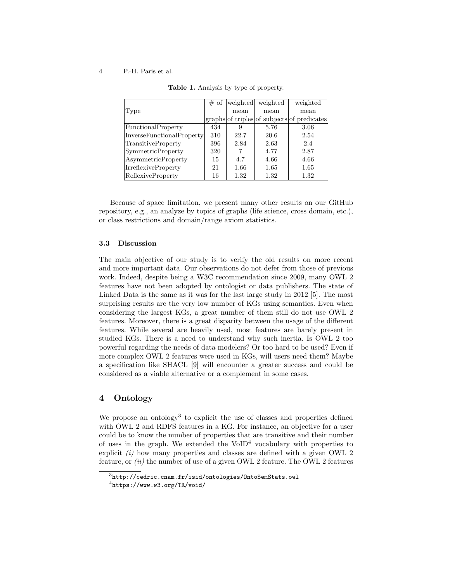#### 4 P.-H. Paris et al.

|                            | # of | weighted | weighted | weighted                                    |
|----------------------------|------|----------|----------|---------------------------------------------|
| Type                       |      | mean     | mean     | mean                                        |
|                            |      |          |          | graphs of triples of subjects of predicates |
| FunctionalProperty         | 434  | 9        | 5.76     | 3.06                                        |
| InverseFunctionalProperty  | 310  | 22.7     | 20.6     | 2.54                                        |
| TransitiveProperty         | 396  | 2.84     | 2.63     | 2.4                                         |
| <b>SymmetricProperty</b>   | 320  |          | 4.77     | 2.87                                        |
| <b>AsymmetricProperty</b>  | 15   | 4.7      | 4.66     | 4.66                                        |
| <b>IrreflexiveProperty</b> | 21   | 1.66     | 1.65     | 1.65                                        |
| <b>ReflexiveProperty</b>   | 16   | 1.32     | 1.32     | 1.32                                        |

Table 1. Analysis by type of property.

Because of space limitation, we present many other results on our GitHub repository, e.g., an analyze by topics of graphs (life science, cross domain, etc.), or class restrictions and domain/range axiom statistics.

## 3.3 Discussion

The main objective of our study is to verify the old results on more recent and more important data. Our observations do not defer from those of previous work. Indeed, despite being a W3C recommendation since 2009, many OWL 2 features have not been adopted by ontologist or data publishers. The state of Linked Data is the same as it was for the last large study in 2012 [5]. The most surprising results are the very low number of KGs using semantics. Even when considering the largest KGs, a great number of them still do not use OWL 2 features. Moreover, there is a great disparity between the usage of the different features. While several are heavily used, most features are barely present in studied KGs. There is a need to understand why such inertia. Is OWL 2 too powerful regarding the needs of data modelers? Or too hard to be used? Even if more complex OWL 2 features were used in KGs, will users need them? Maybe a specification like SHACL [9] will encounter a greater success and could be considered as a viable alternative or a complement in some cases.

# 4 Ontology

We propose an ontology<sup>3</sup> to explicit the use of classes and properties defined with OWL 2 and RDFS features in a KG. For instance, an objective for a user could be to know the number of properties that are transitive and their number of uses in the graph. We extended the  $\text{VolD}^4$  vocabulary with properties to explicit  $(i)$  how many properties and classes are defined with a given OWL 2 feature, or  $(ii)$  the number of use of a given OWL 2 feature. The OWL 2 features

 $^3$ http://cedric.cnam.fr/isid/ontologies/OntoSemStats.owl

 $^4$ https://www.w $3.\,$ org/TR/void/